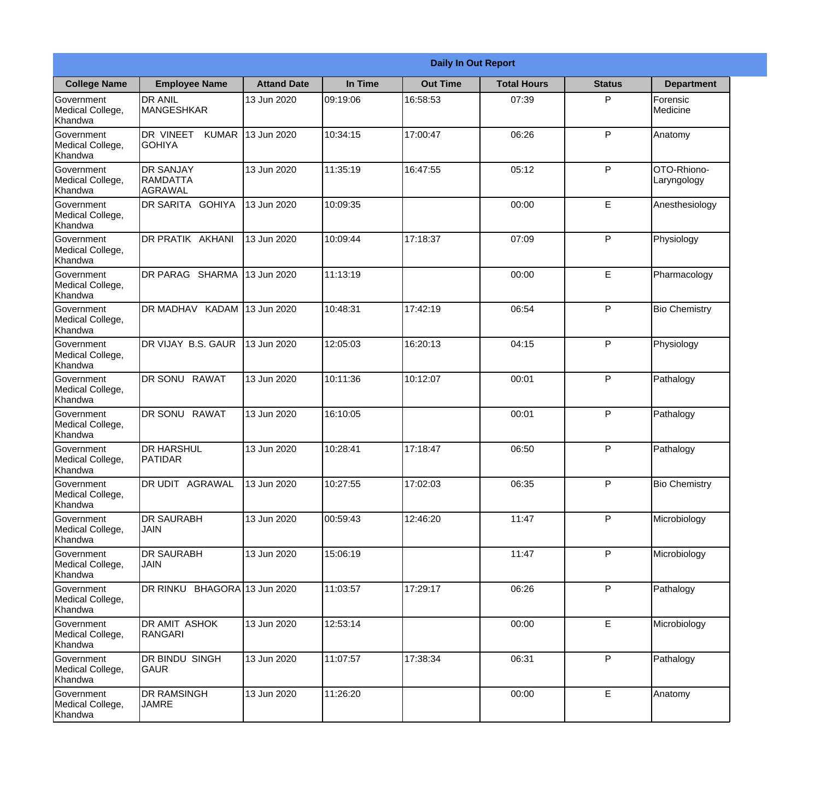|                                                  |                                                |                    |          | <b>Daily In Out Report</b> |                    |               |                            |
|--------------------------------------------------|------------------------------------------------|--------------------|----------|----------------------------|--------------------|---------------|----------------------------|
| <b>College Name</b>                              | <b>Employee Name</b>                           | <b>Attand Date</b> | In Time  | <b>Out Time</b>            | <b>Total Hours</b> | <b>Status</b> | <b>Department</b>          |
| Government<br>Medical College,<br>Khandwa        | <b>DR ANIL</b><br>MANGESHKAR                   | 13 Jun 2020        | 09:19:06 | 16:58:53                   | 07:39              | P             | Forensic<br>Medicine       |
| Government<br>Medical College,<br>Khandwa        | DR VINEET<br><b>KUMAR</b><br><b>GOHIYA</b>     | 13 Jun 2020        | 10:34:15 | 17:00:47                   | 06:26              | P             | Anatomy                    |
| <b>Government</b><br>Medical College,<br>Khandwa | <b>DR SANJAY</b><br><b>RAMDATTA</b><br>AGRAWAL | 13 Jun 2020        | 11:35:19 | 16:47:55                   | 05:12              | P             | OTO-Rhiono-<br>Laryngology |
| <b>Government</b><br>Medical College,<br>Khandwa | <b>DR SARITA GOHIYA</b>                        | 13 Jun 2020        | 10:09:35 |                            | 00:00              | E             | Anesthesiology             |
| Government<br>Medical College,<br>Khandwa        | <b>DR PRATIK AKHANI</b>                        | 13 Jun 2020        | 10:09:44 | 17:18:37                   | 07:09              | P             | Physiology                 |
| Government<br>Medical College,<br>Khandwa        | DR PARAG SHARMA                                | 13 Jun 2020        | 11:13:19 |                            | 00:00              | E             | Pharmacology               |
| <b>Government</b><br>Medical College,<br>Khandwa | DR MADHAV KADAM                                | 13 Jun 2020        | 10:48:31 | 17:42:19                   | 06:54              | P             | <b>Bio Chemistry</b>       |
| <b>Government</b><br>Medical College,<br>Khandwa | DR VIJAY B.S. GAUR                             | 13 Jun 2020        | 12:05:03 | 16:20:13                   | 04:15              | P             | Physiology                 |
| Government<br>Medical College,<br>Khandwa        | DR SONU<br><b>RAWAT</b>                        | 13 Jun 2020        | 10:11:36 | 10:12:07                   | 00:01              | P             | Pathalogy                  |
| Government<br>Medical College,<br>Khandwa        | <b>RAWAT</b><br><b>DR SONU</b>                 | 13 Jun 2020        | 16:10:05 |                            | 00:01              | P             | Pathalogy                  |
| Government<br>Medical College,<br>Khandwa        | <b>DR HARSHUL</b><br><b>PATIDAR</b>            | 13 Jun 2020        | 10:28:41 | 17:18:47                   | 06:50              | $\mathsf{P}$  | Pathalogy                  |
| Government<br>Medical College,<br>Khandwa        | <b>DR UDIT AGRAWAL</b>                         | 13 Jun 2020        | 10:27:55 | 17:02:03                   | 06:35              | P             | <b>Bio Chemistry</b>       |
| Government<br>Medical College,<br>Khandwa        | <b>DR SAURABH</b><br><b>JAIN</b>               | 13 Jun 2020        | 00:59:43 | 12:46:20                   | 11:47              | P             | Microbiology               |
| Government<br>Medical College,<br>Khandwa        | <b>DR SAURABH</b><br><b>JAIN</b>               | 13 Jun 2020        | 15:06:19 |                            | 11:47              | P             | Microbiology               |
| Government<br>Medical College,<br>Khandwa        | DR RINKU BHAGORA 13 Jun 2020                   |                    | 11:03:57 | 17:29:17                   | 06:26              | $\mathsf{P}$  | Pathalogy                  |
| Government<br>Medical College,<br>Khandwa        | DR AMIT ASHOK<br>RANGARI                       | 13 Jun 2020        | 12:53:14 |                            | 00:00              | E             | Microbiology               |
| Government<br>Medical College,<br>Khandwa        | DR BINDU SINGH<br><b>GAUR</b>                  | 13 Jun 2020        | 11:07:57 | 17:38:34                   | 06:31              | P             | Pathalogy                  |
| Government<br>Medical College,<br>Khandwa        | <b>DR RAMSINGH</b><br><b>JAMRE</b>             | 13 Jun 2020        | 11:26:20 |                            | 00:00              | $\mathsf E$   | Anatomy                    |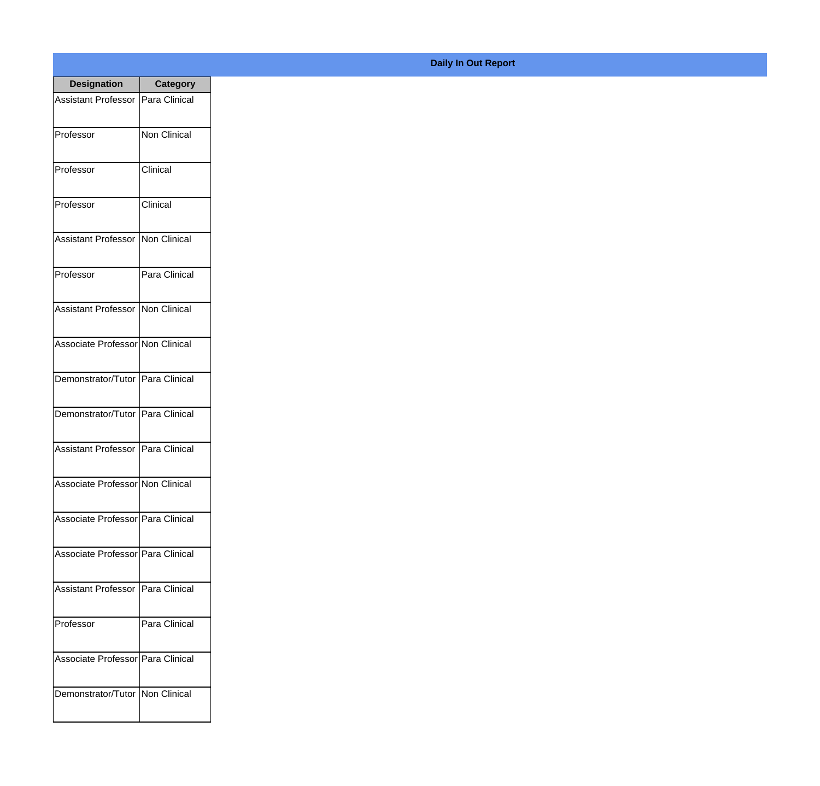| <b>Designation</b>                  | <b>Category</b> |
|-------------------------------------|-----------------|
| Assistant Professor   Para Clinical |                 |
| Professor                           | Non Clinical    |
| Professor                           | Clinical        |
| Professor                           | Clinical        |
| <b>Assistant Professor</b>          | Non Clinical    |
| Professor                           | Para Clinical   |
| Assistant Professor Non Clinical    |                 |
| Associate Professor Non Clinical    |                 |
| Demonstrator/Tutor   Para Clinical  |                 |
| Demonstrator/Tutor   Para Clinical  |                 |
| Assistant Professor                 | Para Clinical   |
| Associate Professor Non Clinical    |                 |
| Associate Professor Para Clinical   |                 |
| Associate Professor Para Clinical   |                 |
| Assistant Professor                 | Para Clinical   |
| Professor                           | Para Clinical   |
| Associate Professor   Para Clinical |                 |
| Demonstrator/Tutor   Non Clinical   |                 |

## **Daily In Out Report**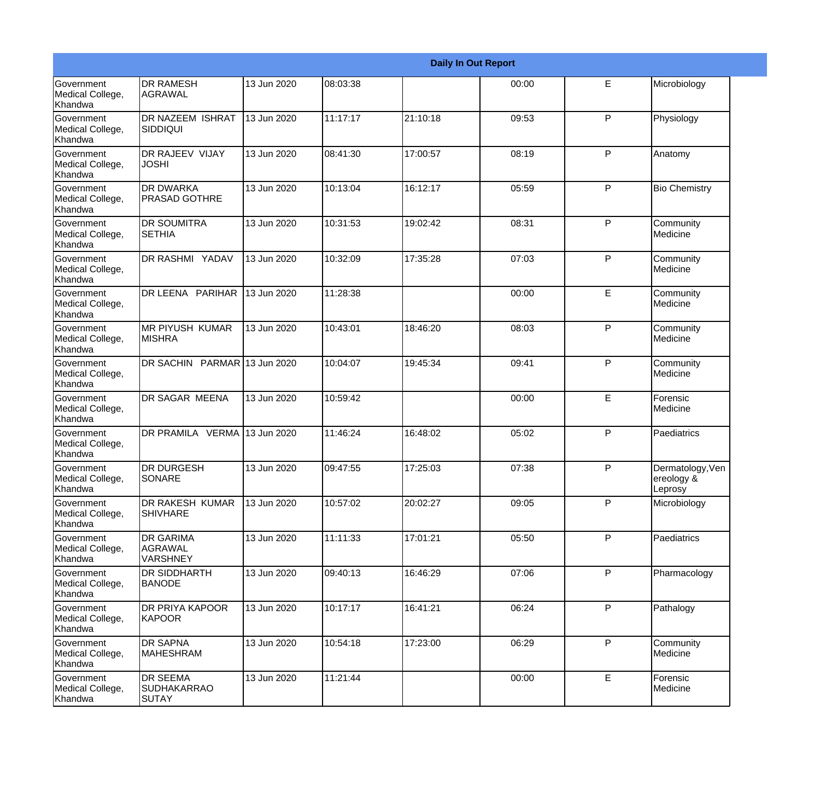|                                                         |                                                |             |          |          | <b>Daily In Out Report</b> |              |                                           |
|---------------------------------------------------------|------------------------------------------------|-------------|----------|----------|----------------------------|--------------|-------------------------------------------|
| Government<br>Medical College,<br>Khandwa               | <b>DR RAMESH</b><br><b>AGRAWAL</b>             | 13 Jun 2020 | 08:03:38 |          | 00:00                      | E            | Microbiology                              |
| <b>Government</b><br>Medical College,<br>Khandwa        | DR NAZEEM ISHRAT<br><b>SIDDIQUI</b>            | 13 Jun 2020 | 11:17:17 | 21:10:18 | 09:53                      | $\mathsf{P}$ | Physiology                                |
| <b>Government</b><br>Medical College,<br>Khandwa        | DR RAJEEV VIJAY<br><b>JOSHI</b>                | 13 Jun 2020 | 08:41:30 | 17:00:57 | 08:19                      | P            | Anatomy                                   |
| <b>Government</b><br>Medical College,<br>Khandwa        | <b>DR DWARKA</b><br><b>PRASAD GOTHRE</b>       | 13 Jun 2020 | 10:13:04 | 16:12:17 | 05:59                      | $\mathsf{P}$ | <b>Bio Chemistry</b>                      |
| Government<br>Medical College,<br>Khandwa               | DR SOUMITRA<br><b>SETHIA</b>                   | 13 Jun 2020 | 10:31:53 | 19:02:42 | 08:31                      | P            | Community<br>Medicine                     |
| <b>Government</b><br>Medical College,<br><b>Khandwa</b> | <b>DR RASHMI YADAV</b>                         | 13 Jun 2020 | 10:32:09 | 17:35:28 | 07:03                      | P            | Community<br>Medicine                     |
| Government<br>Medical College,<br>Khandwa               | DR LEENA PARIHAR                               | 13 Jun 2020 | 11:28:38 |          | 00:00                      | E            | Community<br>Medicine                     |
| Government<br>Medical College,<br>Khandwa               | <b>MR PIYUSH KUMAR</b><br><b>MISHRA</b>        | 13 Jun 2020 | 10:43:01 | 18:46:20 | 08:03                      | P            | Community<br>Medicine                     |
| Government<br>Medical College,<br>Khandwa               | DR SACHIN PARMAR 13 Jun 2020                   |             | 10:04:07 | 19:45:34 | 09:41                      | $\mathsf{P}$ | Community<br>Medicine                     |
| <b>Government</b><br>Medical College,<br>Khandwa        | <b>DR SAGAR MEENA</b>                          | 13 Jun 2020 | 10:59:42 |          | 00:00                      | E            | Forensic<br>Medicine                      |
| <b>Government</b><br>Medical College,<br>Khandwa        | DR PRAMILA VERMA 13 Jun 2020                   |             | 11:46:24 | 16:48:02 | 05:02                      | P            | Paediatrics                               |
| Government<br>Medical College,<br>Khandwa               | <b>DR DURGESH</b><br>SONARE                    | 13 Jun 2020 | 09:47:55 | 17:25:03 | 07:38                      | $\mathsf{P}$ | Dermatology, Ven<br>ereology &<br>Leprosy |
| <b>Government</b><br>Medical College,<br>Khandwa        | DR RAKESH KUMAR<br><b>SHIVHARE</b>             | 13 Jun 2020 | 10:57:02 | 20:02:27 | 09:05                      | P            | Microbiology                              |
| Government<br>Medical College,<br>Khandwa               | <b>DR GARIMA</b><br>AGRAWAL<br><b>VARSHNEY</b> | 13 Jun 2020 | 11:11:33 | 17:01:21 | 05:50                      | P            | Paediatrics                               |
| Government<br>Medical College,<br>Khandwa               | <b>DR SIDDHARTH</b><br><b>BANODE</b>           | 13 Jun 2020 | 09:40:13 | 16:46:29 | 07:06                      | P            | Pharmacology                              |
| Government<br>Medical College,<br>Khandwa               | <b>DR PRIYA KAPOOR</b><br>KAPOOR               | 13 Jun 2020 | 10:17:17 | 16:41:21 | 06:24                      | P            | Pathalogy                                 |
| Government<br>Medical College,<br>Khandwa               | <b>DR SAPNA</b><br><b>MAHESHRAM</b>            | 13 Jun 2020 | 10:54:18 | 17:23:00 | 06:29                      | P            | Community<br>Medicine                     |
| Government<br>Medical College,<br>Khandwa               | DR SEEMA<br><b>SUDHAKARRAO</b><br>SUTAY        | 13 Jun 2020 | 11:21:44 |          | 00:00                      | E            | Forensic<br>Medicine                      |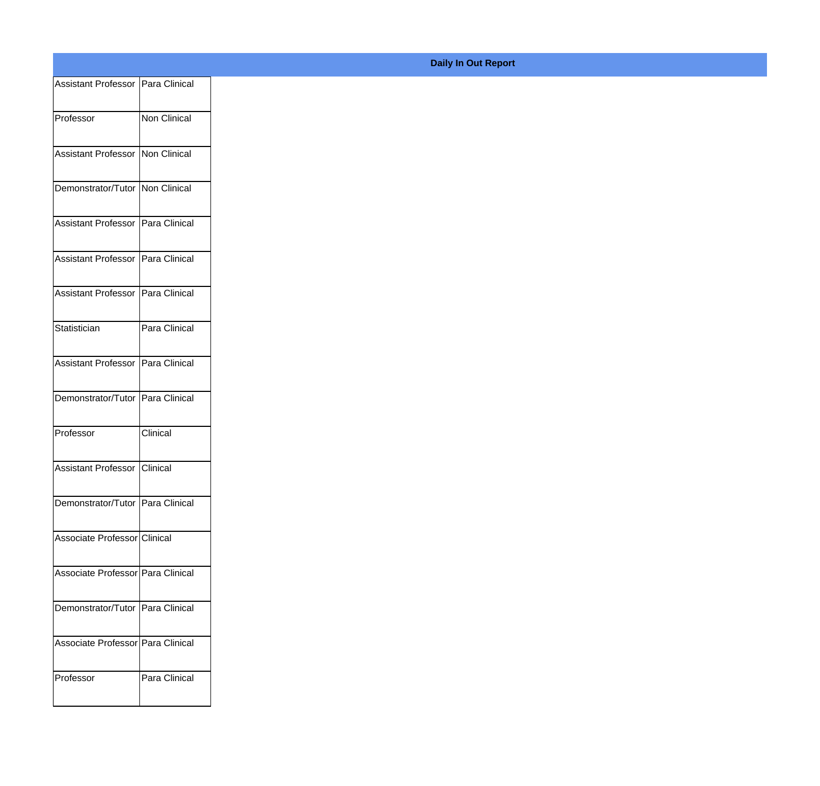| Assistant Professor   Para Clinical |               |
|-------------------------------------|---------------|
|                                     |               |
| Professor                           | Non Clinical  |
| Assistant Professor   Non Clinical  |               |
|                                     |               |
| Demonstrator/Tutor   Non Clinical   |               |
|                                     |               |
| Assistant Professor   Para Clinical |               |
| Assistant Professor Para Clinical   |               |
|                                     |               |
| Assistant Professor                 | Para Clinical |
|                                     |               |
| Statistician                        | Para Clinical |
| Assistant Professor   Para Clinical |               |
|                                     |               |
| Demonstrator/Tutor Para Clinical    |               |
| Professor                           | Clinical      |
|                                     |               |
| Assistant Professor Clinical        |               |
|                                     |               |
| Demonstrator/Tutor   Para Clinical  |               |
| Associate Professor Clinical        |               |
|                                     |               |
| Associate Professor   Para Clinical |               |
| Demonstrator/Tutor   Para Clinical  |               |
|                                     |               |
| Associate Professor Para Clinical   |               |
|                                     |               |
| Professor                           | Para Clinical |
|                                     |               |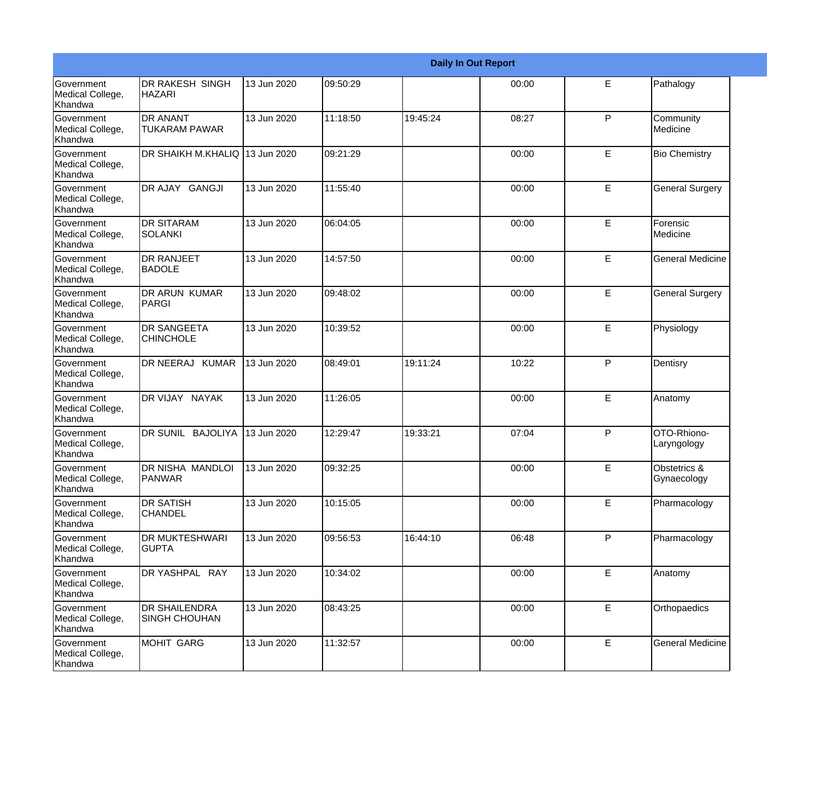|                                                  |                                              |             |          |          | <b>Daily In Out Report</b> |   |                                        |
|--------------------------------------------------|----------------------------------------------|-------------|----------|----------|----------------------------|---|----------------------------------------|
| <b>Government</b><br>Medical College,<br>Khandwa | <b>DR RAKESH SINGH</b><br><b>HAZARI</b>      | 13 Jun 2020 | 09:50:29 |          | 00:00                      | E | Pathalogy                              |
| Government<br>Medical College,<br>Khandwa        | <b>DR ANANT</b><br><b>TUKARAM PAWAR</b>      | 13 Jun 2020 | 11:18:50 | 19:45:24 | 08:27                      | P | Community<br>Medicine                  |
| <b>Government</b><br>Medical College,<br>Khandwa | DR SHAIKH M.KHALIQ 13 Jun 2020               |             | 09:21:29 |          | 00:00                      | E | <b>Bio Chemistry</b>                   |
| Government<br>Medical College,<br>Khandwa        | DR AJAY GANGJI                               | 13 Jun 2020 | 11:55:40 |          | 00:00                      | E | <b>General Surgery</b>                 |
| Government<br>Medical College,<br>Khandwa        | <b>DR SITARAM</b><br><b>SOLANKI</b>          | 13 Jun 2020 | 06:04:05 |          | 00:00                      | E | Forensic<br>Medicine                   |
| Government<br>Medical College,<br>Khandwa        | <b>DR RANJEET</b><br><b>BADOLE</b>           | 13 Jun 2020 | 14:57:50 |          | 00:00                      | E | <b>General Medicine</b>                |
| <b>Government</b><br>Medical College,<br>Khandwa | <b>DR ARUN KUMAR</b><br>PARGI                | 13 Jun 2020 | 09:48:02 |          | 00:00                      | E | <b>General Surgery</b>                 |
| Government<br>Medical College,<br>Khandwa        | <b>DR SANGEETA</b><br><b>CHINCHOLE</b>       | 13 Jun 2020 | 10:39:52 |          | 00:00                      | E | Physiology                             |
| Government<br>Medical College,<br>Khandwa        | DR NEERAJ KUMAR                              | 13 Jun 2020 | 08:49:01 | 19:11:24 | 10:22                      | P | Dentisry                               |
| Government<br>Medical College,<br>Khandwa        | DR VIJAY NAYAK                               | 13 Jun 2020 | 11:26:05 |          | 00:00                      | E | Anatomy                                |
| <b>Government</b><br>Medical College,<br>Khandwa | DR SUNIL BAJOLIYA                            | 13 Jun 2020 | 12:29:47 | 19:33:21 | 07:04                      | P | OTO-Rhiono-<br>Laryngology             |
| Government<br>Medical College,<br>Khandwa        | DR NISHA MANDLOI<br>PANWAR                   | 13 Jun 2020 | 09:32:25 |          | 00:00                      | E | <b>Obstetrics &amp;</b><br>Gynaecology |
| Government<br>Medical College,<br>Khandwa        | <b>DR SATISH</b><br><b>CHANDEL</b>           | 13 Jun 2020 | 10:15:05 |          | 00:00                      | E | Pharmacology                           |
| Government<br>Medical College,<br>Khandwa        | DR MUKTESHWARI<br><b>GUPTA</b>               | 13 Jun 2020 | 09:56:53 | 16:44:10 | 06:48                      | P | Pharmacology                           |
| Government<br>Medical College,<br>Khandwa        | DR YASHPAL RAY                               | 13 Jun 2020 | 10:34:02 |          | 00:00                      | E | Anatomy                                |
| Government<br>Medical College,<br>Khandwa        | <b>DR SHAILENDRA</b><br><b>SINGH CHOUHAN</b> | 13 Jun 2020 | 08:43:25 |          | 00:00                      | E | Orthopaedics                           |
| Government<br>Medical College,<br>Khandwa        | MOHIT GARG                                   | 13 Jun 2020 | 11:32:57 |          | 00:00                      | E | <b>General Medicine</b>                |